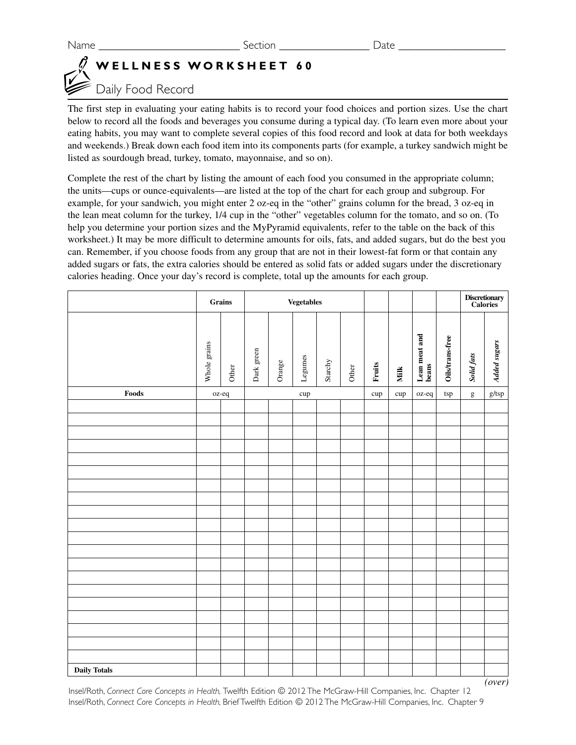## **WELLNESS WORKSHEET 60**

## Daily Food Record

The first step in evaluating your eating habits is to record your food choices and portion sizes. Use the chart below to record all the foods and beverages you consume during a typical day. (To learn even more about your eating habits, you may want to complete several copies of this food record and look at data for both weekdays and weekends.) Break down each food item into its components parts (for example, a turkey sandwich might be listed as sourdough bread, turkey, tomato, mayonnaise, and so on).

Complete the rest of the chart by listing the amount of each food you consumed in the appropriate column; the units—cups or ounce-equivalents—are listed at the top of the chart for each group and subgroup. For example, for your sandwich, you might enter 2 oz-eq in the "other" grains column for the bread, 3 oz-eq in the lean meat column for the turkey, 1/4 cup in the "other" vegetables column for the tomato, and so on. (To help you determine your portion sizes and the MyPyramid equivalents, refer to the table on the back of this worksheet.) It may be more difficult to determine amounts for oils, fats, and added sugars, but do the best you can. Remember, if you choose foods from any group that are not in their lowest-fat form or that contain any added sugars or fats, the extra calories should be entered as solid fats or added sugars under the discretionary calories heading. Once your day's record is complete, total up the amounts for each group.

|                                                                                                                                                                                                                                       | Grains       |       | <b>Vegetables</b> |        |         |         |       |        |             |                        |                 |            | Discretionary<br>Calories |
|---------------------------------------------------------------------------------------------------------------------------------------------------------------------------------------------------------------------------------------|--------------|-------|-------------------|--------|---------|---------|-------|--------|-------------|------------------------|-----------------|------------|---------------------------|
|                                                                                                                                                                                                                                       | Whole grains | Other | Dark green        | Orange | Legumes | Starchy | Other | Fruits | <b>Milk</b> | Lean meat and<br>beans | Oils/trans-free | Solid fats | <b>Added sugars</b>       |
| Foods                                                                                                                                                                                                                                 |              | oz-eq | cup               |        |         |         | cup   | cup    | oz-eq       | tsp                    | g               | $g$ /tsp   |                           |
|                                                                                                                                                                                                                                       |              |       |                   |        |         |         |       |        |             |                        |                 |            |                           |
|                                                                                                                                                                                                                                       |              |       |                   |        |         |         |       |        |             |                        |                 |            |                           |
|                                                                                                                                                                                                                                       |              |       |                   |        |         |         |       |        |             |                        |                 |            |                           |
|                                                                                                                                                                                                                                       |              |       |                   |        |         |         |       |        |             |                        |                 |            |                           |
|                                                                                                                                                                                                                                       |              |       |                   |        |         |         |       |        |             |                        |                 |            |                           |
|                                                                                                                                                                                                                                       |              |       |                   |        |         |         |       |        |             |                        |                 |            |                           |
|                                                                                                                                                                                                                                       |              |       |                   |        |         |         |       |        |             |                        |                 |            |                           |
|                                                                                                                                                                                                                                       |              |       |                   |        |         |         |       |        |             |                        |                 |            |                           |
|                                                                                                                                                                                                                                       |              |       |                   |        |         |         |       |        |             |                        |                 |            |                           |
|                                                                                                                                                                                                                                       |              |       |                   |        |         |         |       |        |             |                        |                 |            |                           |
|                                                                                                                                                                                                                                       |              |       |                   |        |         |         |       |        |             |                        |                 |            |                           |
|                                                                                                                                                                                                                                       |              |       |                   |        |         |         |       |        |             |                        |                 |            |                           |
|                                                                                                                                                                                                                                       |              |       |                   |        |         |         |       |        |             |                        |                 |            |                           |
|                                                                                                                                                                                                                                       |              |       |                   |        |         |         |       |        |             |                        |                 |            |                           |
|                                                                                                                                                                                                                                       |              |       |                   |        |         |         |       |        |             |                        |                 |            |                           |
|                                                                                                                                                                                                                                       |              |       |                   |        |         |         |       |        |             |                        |                 |            |                           |
|                                                                                                                                                                                                                                       |              |       |                   |        |         |         |       |        |             |                        |                 |            |                           |
|                                                                                                                                                                                                                                       |              |       |                   |        |         |         |       |        |             |                        |                 |            |                           |
|                                                                                                                                                                                                                                       |              |       |                   |        |         |         |       |        |             |                        |                 |            |                           |
| <b>Daily Totals</b>                                                                                                                                                                                                                   |              |       |                   |        |         |         |       |        |             |                        |                 |            |                           |
| Insel/Roth, Connect Core Concepts in Health, Twelfth Edition @ 2012 The McGraw-Hill Companies, Inc. Chapter 12<br>Insel/Roth, Connect Core Concepts in Health, Brief Twelfth Edition @ 2012 The McGraw-Hill Companies, Inc. Chapter 9 |              |       |                   |        |         |         |       |        |             |                        |                 |            | (over)                    |